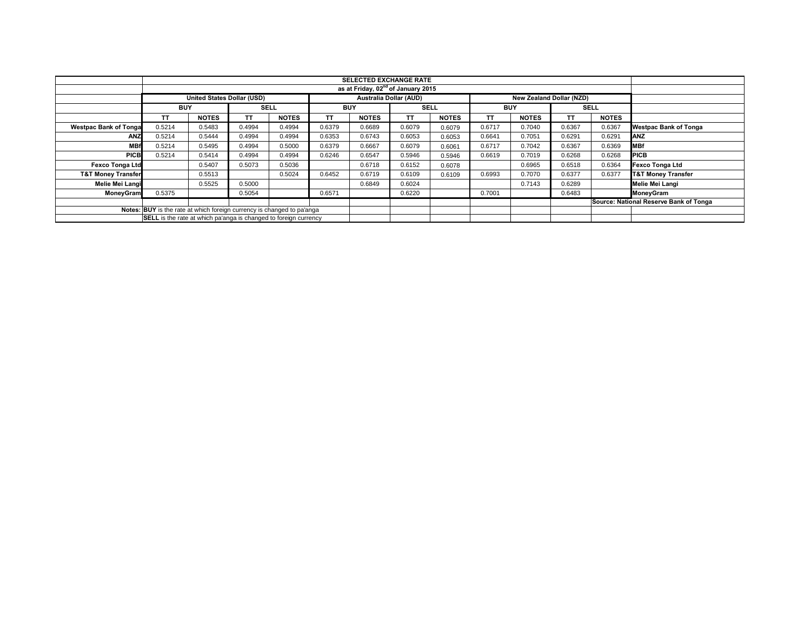|                               | <b>SELECTED EXCHANGE RATE</b>                                          |                                   |             |              |                               |              |             |              |            |                                 |        |              |                                        |
|-------------------------------|------------------------------------------------------------------------|-----------------------------------|-------------|--------------|-------------------------------|--------------|-------------|--------------|------------|---------------------------------|--------|--------------|----------------------------------------|
|                               |                                                                        |                                   |             |              |                               |              |             |              |            |                                 |        |              |                                        |
|                               |                                                                        | <b>United States Dollar (USD)</b> |             |              | <b>Australia Dollar (AUD)</b> |              |             |              |            | <b>New Zealand Dollar (NZD)</b> |        |              |                                        |
|                               | <b>BUY</b>                                                             |                                   | <b>SELL</b> |              | <b>BUY</b>                    |              | <b>SELL</b> |              | <b>BUY</b> |                                 |        | <b>SELL</b>  |                                        |
|                               | <b>TT</b>                                                              | <b>NOTES</b>                      | TΤ          | <b>NOTES</b> | ΤT                            | <b>NOTES</b> | ΤT          | <b>NOTES</b> | TT         | <b>NOTES</b>                    | ΤT     | <b>NOTES</b> |                                        |
| <b>Westpac Bank of Tonga</b>  | 0.5214                                                                 | 0.5483                            | 0.4994      | 0.4994       | 0.6379                        | 0.6689       | 0.6079      | 0.6079       | 0.6717     | 0.7040                          | 0.6367 | 0.6367       | <b>Westpac Bank of Tonga</b>           |
| ANZ                           | 0.5214                                                                 | 0.5444                            | 0.4994      | 0.4994       | 0.6353                        | 0.6743       | 0.6053      | 0.6053       | 0.6641     | 0.7051                          | 0.6291 | 0.6291       | <b>ANZ</b>                             |
| <b>MBf</b>                    | 0.5214                                                                 | 0.5495                            | 0.4994      | 0.5000       | 0.6379                        | 0.6667       | 0.6079      | 0.6061       | 0.6717     | 0.7042                          | 0.6367 | 0.6369       | <b>MBf</b>                             |
| <b>PICB</b>                   | 0.5214                                                                 | 0.5414                            | 0.4994      | 0.4994       | 0.6246                        | 0.6547       | 0.5946      | 0.5946       | 0.6619     | 0.7019                          | 0.6268 | 0.6268       | <b>PICB</b>                            |
| <b>Fexco Tonga Ltd</b>        |                                                                        | 0.5407                            | 0.5073      | 0.5036       |                               | 0.6718       | 0.6152      | 0.6078       |            | 0.6965                          | 0.6518 | 0.6364       | <b>Fexco Tonga Ltd</b>                 |
| <b>T&amp;T Money Transfer</b> |                                                                        | 0.5513                            |             | 0.5024       | 0.6452                        | 0.6719       | 0.6109      | 0.6109       | 0.6993     | 0.7070                          | 0.6377 | 0.6377       | <b>T&amp;T Money Transfer</b>          |
| Melie Mei Langi               |                                                                        | 0.5525                            | 0.5000      |              |                               | 0.6849       | 0.6024      |              |            | 0.7143                          | 0.6289 |              | Melie Mei Langi                        |
| <b>MoneyGram</b>              | 0.5375                                                                 |                                   | 0.5054      |              | 0.6571                        |              | 0.6220      |              | 0.7001     |                                 | 0.6483 |              | MoneyGram                              |
|                               |                                                                        |                                   |             |              |                               |              |             |              |            |                                 |        |              | Source: National Reserve Bank of Tonga |
|                               | Notes: BUY is the rate at which foreign currency is changed to pa'anga |                                   |             |              |                               |              |             |              |            |                                 |        |              |                                        |
|                               | SELL is the rate at which pa'anga is changed to foreign currency       |                                   |             |              |                               |              |             |              |            |                                 |        |              |                                        |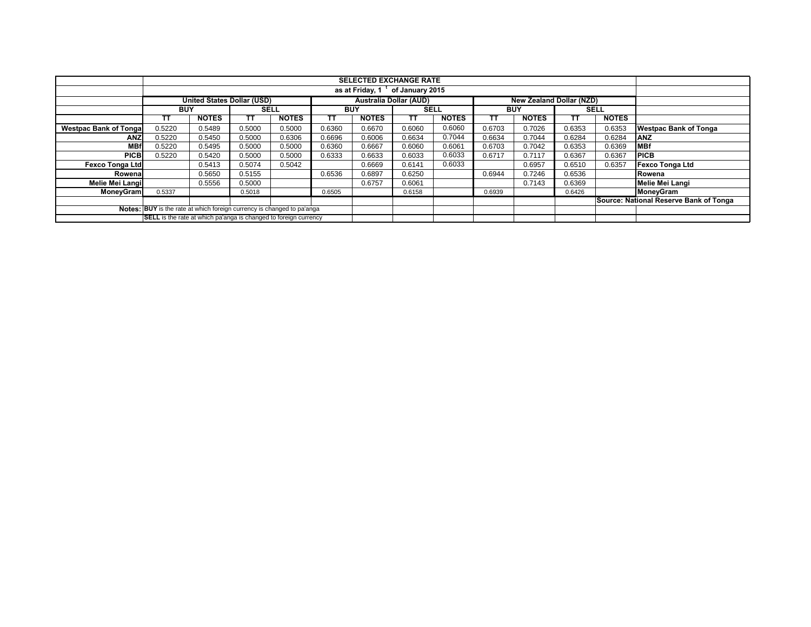|                               | <b>SELECTED EXCHANGE RATE</b>                                           |                                   |             |              |                               |              |             |              |            |                                 |             |              |                                        |
|-------------------------------|-------------------------------------------------------------------------|-----------------------------------|-------------|--------------|-------------------------------|--------------|-------------|--------------|------------|---------------------------------|-------------|--------------|----------------------------------------|
|                               |                                                                         |                                   |             |              |                               |              |             |              |            |                                 |             |              |                                        |
|                               |                                                                         |                                   |             |              |                               |              |             |              |            |                                 |             |              |                                        |
|                               |                                                                         | <b>United States Dollar (USD)</b> |             |              | <b>Australia Dollar (AUD)</b> |              |             |              |            | <b>New Zealand Dollar (NZD)</b> |             |              |                                        |
|                               | <b>BUY</b>                                                              |                                   | <b>SELL</b> |              | <b>BUY</b>                    |              | <b>SELL</b> |              | <b>BUY</b> |                                 | <b>SELL</b> |              |                                        |
|                               | ΤТ                                                                      | <b>NOTES</b>                      | <b>TT</b>   | <b>NOTES</b> | тт                            | <b>NOTES</b> | тт          | <b>NOTES</b> | тт         | <b>NOTES</b>                    | тτ          | <b>NOTES</b> |                                        |
| <b>Westpac Bank of Tongal</b> | 0.5220                                                                  | 0.5489                            | 0.5000      | 0.5000       | 0.6360                        | 0.6670       | 0.6060      | 0.6060       | 0.6703     | 0.7026                          | 0.6353      | 0.6353       | <b>Westpac Bank of Tonga</b>           |
| <b>ANZ</b>                    | 0.5220                                                                  | 0.5450                            | 0.5000      | 0.6306       | 0.6696                        | 0.6006       | 0.6634      | 0.7044       | 0.6634     | 0.7044                          | 0.6284      | 0.6284       | <b>IANZ</b>                            |
| <b>MBf</b>                    | 0.5220                                                                  | 0.5495                            | 0.5000      | 0.5000       | 0.6360                        | 0.6667       | 0.6060      | 0.6061       | 0.6703     | 0.7042                          | 0.6353      | 0.6369       | <b>MBf</b>                             |
| <b>PICB</b>                   | 0.5220                                                                  | 0.5420                            | 0.5000      | 0.5000       | 0.6333                        | 0.6633       | 0.6033      | 0.6033       | 0.6717     | 0.7117                          | 0.6367      | 0.6367       | <b>IPICB</b>                           |
| <b>Fexco Tonga Ltd</b>        |                                                                         | 0.5413                            | 0.5074      | 0.5042       |                               | 0.6669       | 0.6141      | 0.6033       |            | 0.6957                          | 0.6510      | 0.6357       | <b>Fexco Tonga Ltd</b>                 |
| Rowena                        |                                                                         | 0.5650                            | 0.5155      |              | 0.6536                        | 0.6897       | 0.6250      |              | 0.6944     | 0.7246                          | 0.6536      |              | Rowena                                 |
| Melie Mei Langi               |                                                                         | 0.5556                            | 0.5000      |              |                               | 0.6757       | 0.6061      |              |            | 0.7143                          | 0.6369      |              | Melie Mei Langi                        |
| <b>MonevGram</b>              | 0.5337                                                                  |                                   | 0.5018      |              | 0.6505                        |              | 0.6158      |              | 0.6939     |                                 | 0.6426      |              | MoneyGram                              |
|                               |                                                                         |                                   |             |              |                               |              |             |              |            |                                 |             |              | Source: National Reserve Bank of Tonga |
|                               | Notes: BUY is the rate at which foreign currency is changed to pa'anga  |                                   |             |              |                               |              |             |              |            |                                 |             |              |                                        |
|                               | <b>SELL</b> is the rate at which pa'anga is changed to foreign currency |                                   |             |              |                               |              |             |              |            |                                 |             |              |                                        |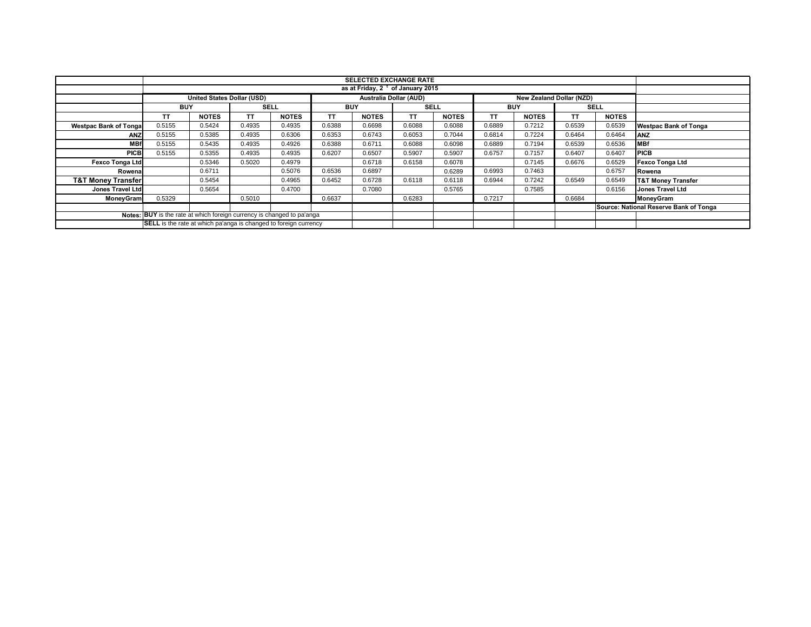|                                                                        | <b>SELECTED EXCHANGE RATE</b>                                           |                            |             |              |            |                                              |        |              |            |                                 |             |              |                                        |
|------------------------------------------------------------------------|-------------------------------------------------------------------------|----------------------------|-------------|--------------|------------|----------------------------------------------|--------|--------------|------------|---------------------------------|-------------|--------------|----------------------------------------|
|                                                                        |                                                                         |                            |             |              |            | as at Friday, 2 <sup>t</sup> of January 2015 |        |              |            |                                 |             |              |                                        |
|                                                                        |                                                                         |                            |             |              |            |                                              |        |              |            |                                 |             |              |                                        |
|                                                                        |                                                                         | United States Dollar (USD) |             |              |            | <b>Australia Dollar (AUD)</b>                |        |              |            | <b>New Zealand Dollar (NZD)</b> |             |              |                                        |
|                                                                        | <b>BUY</b>                                                              |                            | <b>SELL</b> |              | <b>BUY</b> |                                              | SELL   |              | <b>BUY</b> |                                 | <b>SELL</b> |              |                                        |
|                                                                        | TΤ                                                                      | <b>NOTES</b>               | TΤ          | <b>NOTES</b> | TΤ         | <b>NOTES</b>                                 | ΤT     | <b>NOTES</b> | ТT         | <b>NOTES</b>                    | ΤT          | <b>NOTES</b> |                                        |
| <b>Westpac Bank of Tongal</b>                                          | 0.5155                                                                  | 0.5424                     | 0.4935      | 0.4935       | 0.6388     | 0.6698                                       | 0.6088 | 0.6088       | 0.6889     | 0.7212                          | 0.6539      | 0.6539       | <b>Westpac Bank of Tonga</b>           |
| ANZ                                                                    | 0.5155                                                                  | 0.5385                     | 0.4935      | 0.6306       | 0.6353     | 0.6743                                       | 0.6053 | 0.7044       | 0.6814     | 0.7224                          | 0.6464      | 0.6464       | <b>ANZ</b>                             |
| <b>MBf</b>                                                             | 0.5155                                                                  | 0.5435                     | 0.4935      | 0.4926       | 0.6388     | 0.6711                                       | 0.6088 | 0.6098       | 0.6889     | 0.7194                          | 0.6539      | 0.6536       | <b>MBf</b>                             |
| <b>PICB</b>                                                            | 0.5155                                                                  | 0.5355                     | 0.4935      | 0.4935       | 0.6207     | 0.6507                                       | 0.5907 | 0.5907       | 0.6757     | 0.7157                          | 0.6407      | 0.6407       | <b>PICB</b>                            |
| <b>Fexco Tonga Ltd</b>                                                 |                                                                         | 0.5346                     | 0.5020      | 0.4979       |            | 0.6718                                       | 0.6158 | 0.6078       |            | 0.7145                          | 0.6676      | 0.6529       | <b>Fexco Tonga Ltd</b>                 |
| Rowena                                                                 |                                                                         | 0.6711                     |             | 0.5076       | 0.6536     | 0.6897                                       |        | 0.6289       | 0.6993     | 0.7463                          |             | 0.6757       | Rowena                                 |
| <b>T&amp;T Money Transfer</b>                                          |                                                                         | 0.5454                     |             | 0.4965       | 0.6452     | 0.6728                                       | 0.6118 | 0.6118       | 0.6944     | 0.7242                          | 0.6549      | 0.6549       | <b>T&amp;T Money Transfer</b>          |
| Jones Travel Ltd                                                       |                                                                         | 0.5654                     |             | 0.4700       |            | 0.7080                                       |        | 0.5765       |            | 0.7585                          |             | 0.6156       | Jones Travel Ltd                       |
| MoneyGram                                                              | 0.5329                                                                  |                            | 0.5010      |              | 0.6637     |                                              | 0.6283 |              | 0.7217     |                                 | 0.6684      |              | MoneyGram                              |
|                                                                        |                                                                         |                            |             |              |            |                                              |        |              |            |                                 |             |              | Source: National Reserve Bank of Tonga |
| Notes: BUY is the rate at which foreign currency is changed to pa'anga |                                                                         |                            |             |              |            |                                              |        |              |            |                                 |             |              |                                        |
|                                                                        | <b>SELL</b> is the rate at which pa'anga is changed to foreign currency |                            |             |              |            |                                              |        |              |            |                                 |             |              |                                        |